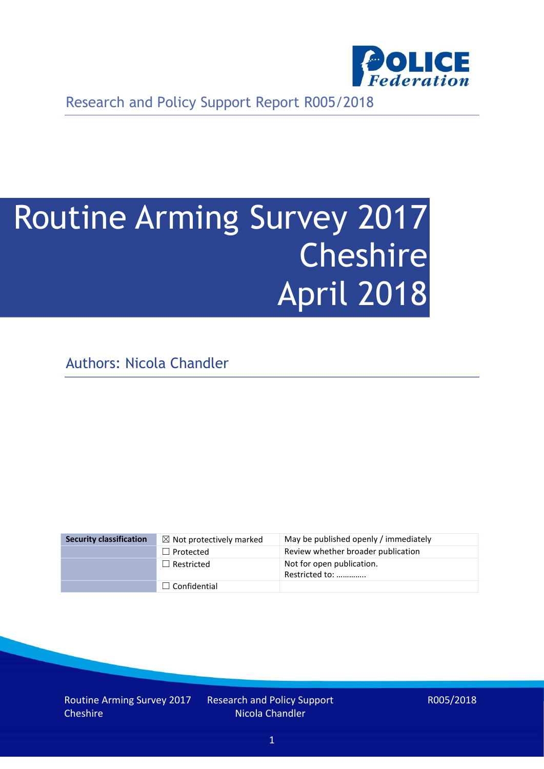

Research and Policy Support Report R005/2018

# Routine Arming Survey 2017 Cheshire April 2018

Authors: Nicola Chandler

| <b>Security classification</b> | $\boxtimes$ Not protectively marked | May be published openly / immediately       |
|--------------------------------|-------------------------------------|---------------------------------------------|
|                                | $\Box$ Protected                    | Review whether broader publication          |
|                                | $\Box$ Restricted                   | Not for open publication.<br>Restricted to: |
|                                | $\Box$ Confidential                 |                                             |

Routine Arming Survey 2017 **Cheshire** 

Research and Policy Support Nicola Chandler

R005/2018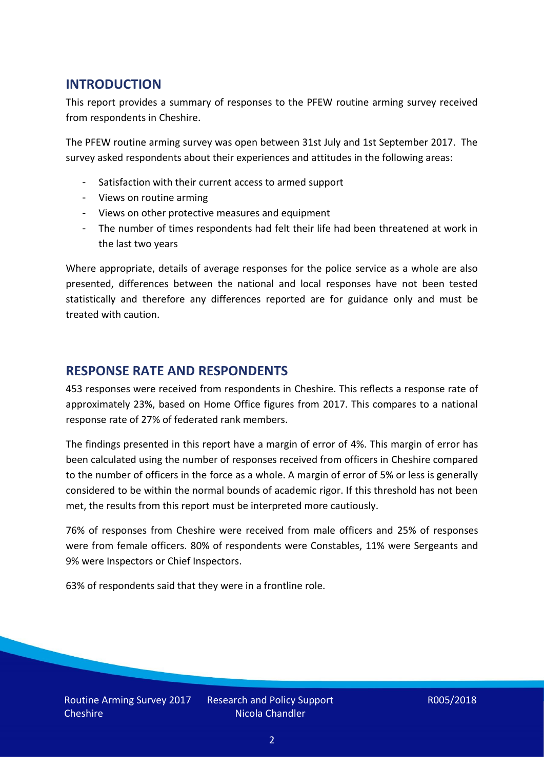## **INTRODUCTION**

This report provides a summary of responses to the PFEW routine arming survey received from respondents in Cheshire.

The PFEW routine arming survey was open between 31st July and 1st September 2017. The survey asked respondents about their experiences and attitudes in the following areas:

- Satisfaction with their current access to armed support
- Views on routine arming
- Views on other protective measures and equipment
- The number of times respondents had felt their life had been threatened at work in the last two years

Where appropriate, details of average responses for the police service as a whole are also presented, differences between the national and local responses have not been tested statistically and therefore any differences reported are for guidance only and must be treated with caution.

### **RESPONSE RATE AND RESPONDENTS**

453 responses were received from respondents in Cheshire. This reflects a response rate of approximately 23%, based on Home Office figures from 2017. This compares to a national response rate of 27% of federated rank members.

The findings presented in this report have a margin of error of 4%. This margin of error has been calculated using the number of responses received from officers in Cheshire compared to the number of officers in the force as a whole. A margin of error of 5% or less is generally considered to be within the normal bounds of academic rigor. If this threshold has not been met, the results from this report must be interpreted more cautiously.

76% of responses from Cheshire were received from male officers and 25% of responses were from female officers. 80% of respondents were Constables, 11% were Sergeants and 9% were Inspectors or Chief Inspectors.

63% of respondents said that they were in a frontline role.

Research and Policy Support Nicola Chandler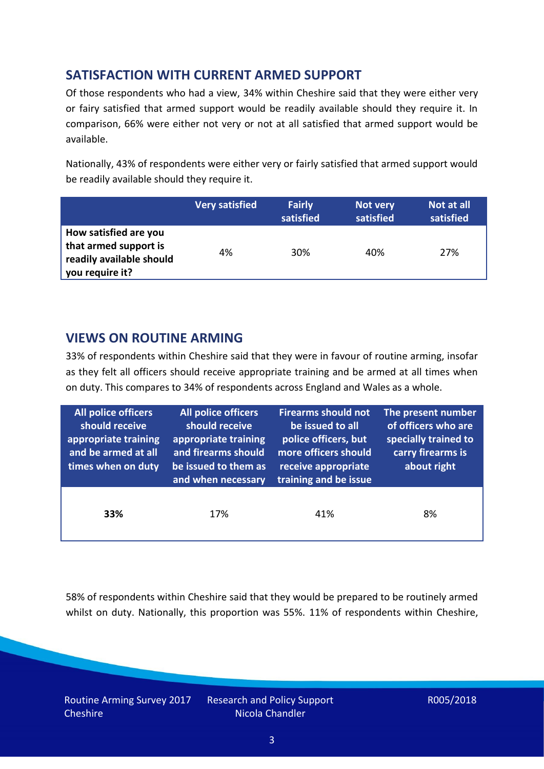# **SATISFACTION WITH CURRENT ARMED SUPPORT**

Of those respondents who had a view, 34% within Cheshire said that they were either very or fairy satisfied that armed support would be readily available should they require it. In comparison, 66% were either not very or not at all satisfied that armed support would be available.

Nationally, 43% of respondents were either very or fairly satisfied that armed support would be readily available should they require it.

|                                                                                               | <b>Very satisfied</b> | <b>Fairly</b><br>satisfied | Not very<br>satisfied | Not at all<br>satisfied |
|-----------------------------------------------------------------------------------------------|-----------------------|----------------------------|-----------------------|-------------------------|
| How satisfied are you<br>that armed support is<br>readily available should<br>you require it? | 4%                    | 30%                        | 40%                   | 27%                     |

## **VIEWS ON ROUTINE ARMING**

33% of respondents within Cheshire said that they were in favour of routine arming, insofar as they felt all officers should receive appropriate training and be armed at all times when on duty. This compares to 34% of respondents across England and Wales as a whole.

| All police officers<br>should receive<br>appropriate training<br>and be armed at all<br>times when on duty | All police officers<br>should receive<br>appropriate training<br>and firearms should<br>be issued to them as<br>and when necessary | <b>Firearms should not</b><br>be issued to all<br>police officers, but<br>more officers should<br>receive appropriate<br>training and be issue | The present number<br>of officers who are<br>specially trained to<br>carry firearms is<br>about right |  |
|------------------------------------------------------------------------------------------------------------|------------------------------------------------------------------------------------------------------------------------------------|------------------------------------------------------------------------------------------------------------------------------------------------|-------------------------------------------------------------------------------------------------------|--|
| 33%                                                                                                        | 17%                                                                                                                                | 41%                                                                                                                                            | 8%                                                                                                    |  |

58% of respondents within Cheshire said that they would be prepared to be routinely armed whilst on duty. Nationally, this proportion was 55%. 11% of respondents within Cheshire,

Routine Arming Survey 2017 **Cheshire** 

Research and Policy Support Nicola Chandler

R005/2018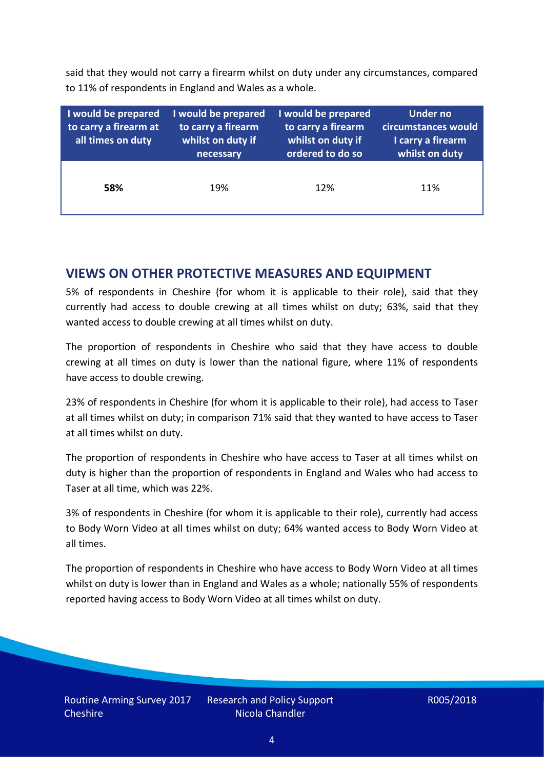said that they would not carry a firearm whilst on duty under any circumstances, compared to 11% of respondents in England and Wales as a whole.

| I would be prepared<br>to carry a firearm at<br>all times on duty | I would be prepared<br>to carry a firearm<br>whilst on duty if<br>necessary | I would be prepared<br>to carry a firearm<br>whilst on duty if<br>ordered to do so | <b>Under no</b><br>circumstances would<br>I carry a firearm<br>whilst on duty |
|-------------------------------------------------------------------|-----------------------------------------------------------------------------|------------------------------------------------------------------------------------|-------------------------------------------------------------------------------|
| 58%                                                               | 19%                                                                         | 12%                                                                                | 11%                                                                           |

### **VIEWS ON OTHER PROTECTIVE MEASURES AND EQUIPMENT**

5% of respondents in Cheshire (for whom it is applicable to their role), said that they currently had access to double crewing at all times whilst on duty; 63%, said that they wanted access to double crewing at all times whilst on duty.

The proportion of respondents in Cheshire who said that they have access to double crewing at all times on duty is lower than the national figure, where 11% of respondents have access to double crewing.

23% of respondents in Cheshire (for whom it is applicable to their role), had access to Taser at all times whilst on duty; in comparison 71% said that they wanted to have access to Taser at all times whilst on duty.

The proportion of respondents in Cheshire who have access to Taser at all times whilst on duty is higher than the proportion of respondents in England and Wales who had access to Taser at all time, which was 22%.

3% of respondents in Cheshire (for whom it is applicable to their role), currently had access to Body Worn Video at all times whilst on duty; 64% wanted access to Body Worn Video at all times.

The proportion of respondents in Cheshire who have access to Body Worn Video at all times whilst on duty is lower than in England and Wales as a whole; nationally 55% of respondents reported having access to Body Worn Video at all times whilst on duty.

Research and Policy Support Nicola Chandler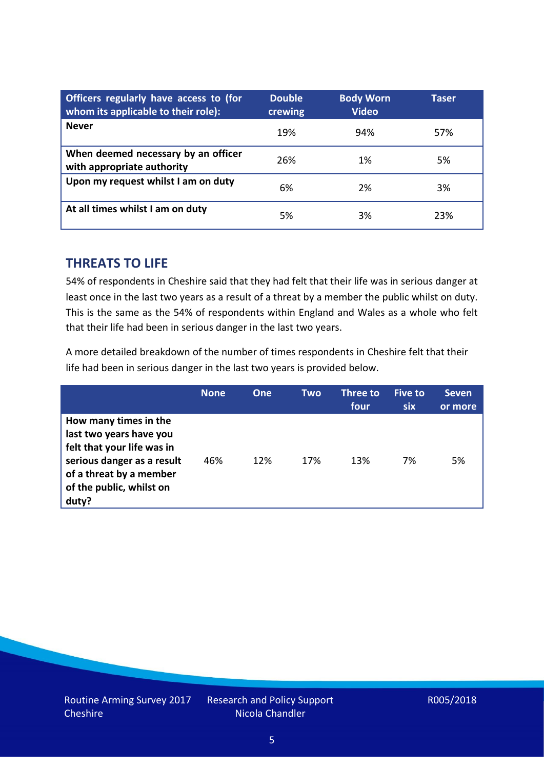| Officers regularly have access to (for<br>whom its applicable to their role): | <b>Double</b><br>crewing | <b>Body Worn</b><br><b>Video</b> | Taser |
|-------------------------------------------------------------------------------|--------------------------|----------------------------------|-------|
| <b>Never</b>                                                                  | 19%                      | 94%                              | 57%   |
| When deemed necessary by an officer<br>with appropriate authority             | 26%                      | 1%                               | 5%    |
| Upon my request whilst I am on duty                                           | 6%                       | 2%                               | 3%    |
| At all times whilst I am on duty                                              | 5%                       | 3%                               | 23%   |

#### **THREATS TO LIFE**

54% of respondents in Cheshire said that they had felt that their life was in serious danger at least once in the last two years as a result of a threat by a member the public whilst on duty. This is the same as the 54% of respondents within England and Wales as a whole who felt that their life had been in serious danger in the last two years.

A more detailed breakdown of the number of times respondents in Cheshire felt that their life had been in serious danger in the last two years is provided below.

|                                                                                                                                                                              | <b>None</b> | <b>One</b> | Two | Three to<br>four | <b>Five to</b><br><b>six</b> | <b>Seven</b><br>or more |
|------------------------------------------------------------------------------------------------------------------------------------------------------------------------------|-------------|------------|-----|------------------|------------------------------|-------------------------|
| How many times in the<br>last two years have you<br>felt that your life was in<br>serious danger as a result<br>of a threat by a member<br>of the public, whilst on<br>duty? | 46%         | 12%        | 17% | 13%              | 7%                           | 5%                      |

Research and Policy Support Nicola Chandler